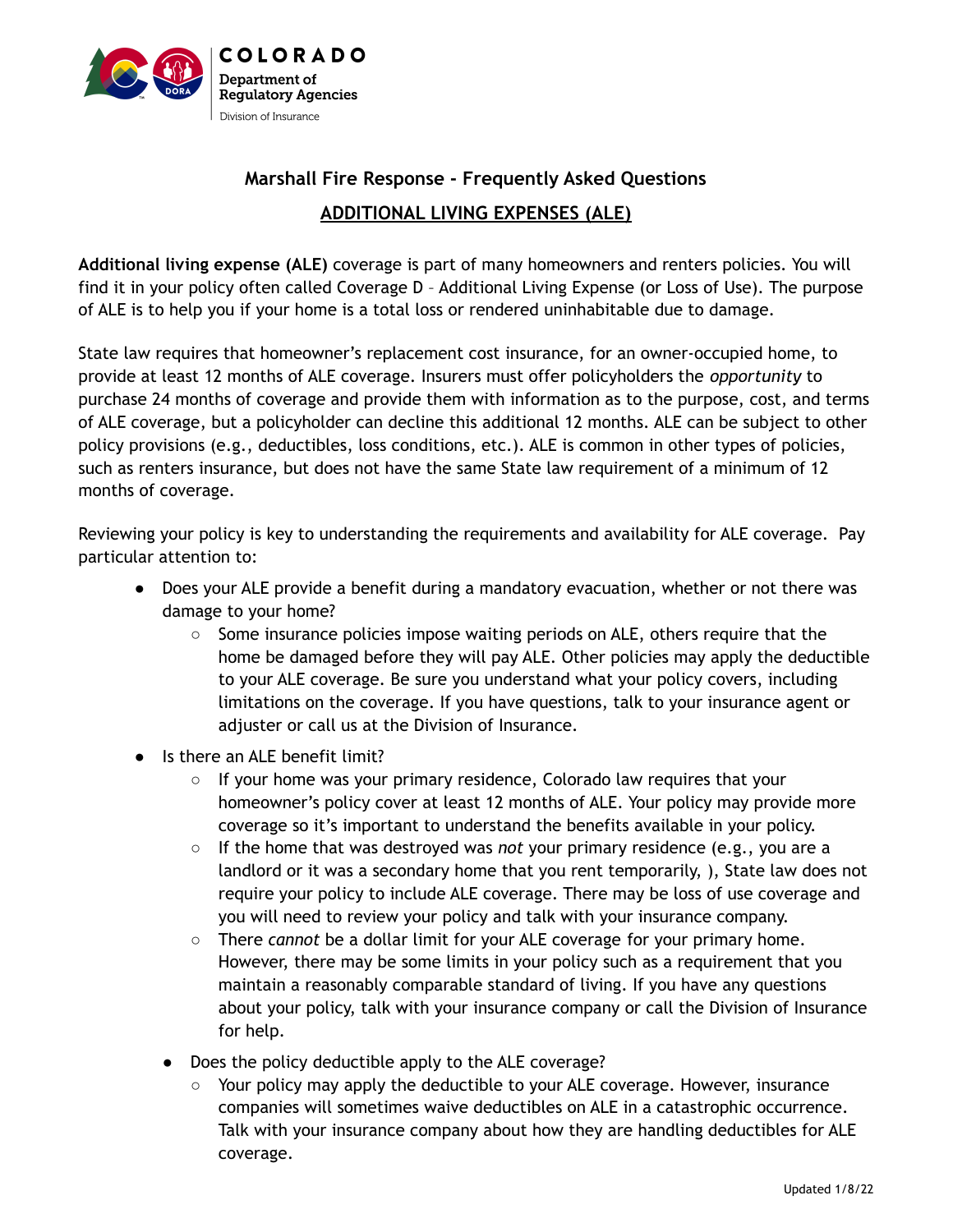

## **Marshall Fire Response - Frequently Asked Questions ADDITIONAL LIVING EXPENSES (ALE)**

**Additional living expense (ALE)** coverage is part of many homeowners and renters policies. You will find it in your policy often called Coverage D – Additional Living Expense (or Loss of Use). The purpose of ALE is to help you if your home is a total loss or rendered uninhabitable due to damage.

State law requires that homeowner's replacement cost insurance, for an owner-occupied home, to provide at least 12 months of ALE coverage. Insurers must offer policyholders the *opportunity* to purchase 24 months of coverage and provide them with information as to the purpose, cost, and terms of ALE coverage, but a policyholder can decline this additional 12 months. ALE can be subject to other policy provisions (e.g., deductibles, loss conditions, etc.). ALE is common in other types of policies, such as renters insurance, but does not have the same State law requirement of a minimum of 12 months of coverage.

Reviewing your policy is key to understanding the requirements and availability for ALE coverage. Pay particular attention to:

- Does your ALE provide a benefit during a mandatory evacuation, whether or not there was damage to your home?
	- Some insurance policies impose waiting periods on ALE, others require that the home be damaged before they will pay ALE. Other policies may apply the deductible to your ALE coverage. Be sure you understand what your policy covers, including limitations on the coverage. If you have questions, talk to your insurance agent or adjuster or call us at the Division of Insurance.
- Is there an ALE benefit limit?
	- $\circ$  If your home was your primary residence, Colorado law requires that your homeowner's policy cover at least 12 months of ALE. Your policy may provide more coverage so it's important to understand the benefits available in your policy.
	- If the home that was destroyed was *not* your primary residence (e.g., you are a landlord or it was a secondary home that you rent temporarily, ), State law does not require your policy to include ALE coverage. There may be loss of use coverage and you will need to review your policy and talk with your insurance company.
	- There *cannot* be a dollar limit for your ALE coverage for your primary home. However, there may be some limits in your policy such as a requirement that you maintain a reasonably comparable standard of living. If you have any questions about your policy, talk with your insurance company or call the Division of Insurance for help.
	- Does the policy deductible apply to the ALE coverage?
		- Your policy may apply the deductible to your ALE coverage. However, insurance companies will sometimes waive deductibles on ALE in a catastrophic occurrence. Talk with your insurance company about how they are handling deductibles for ALE coverage.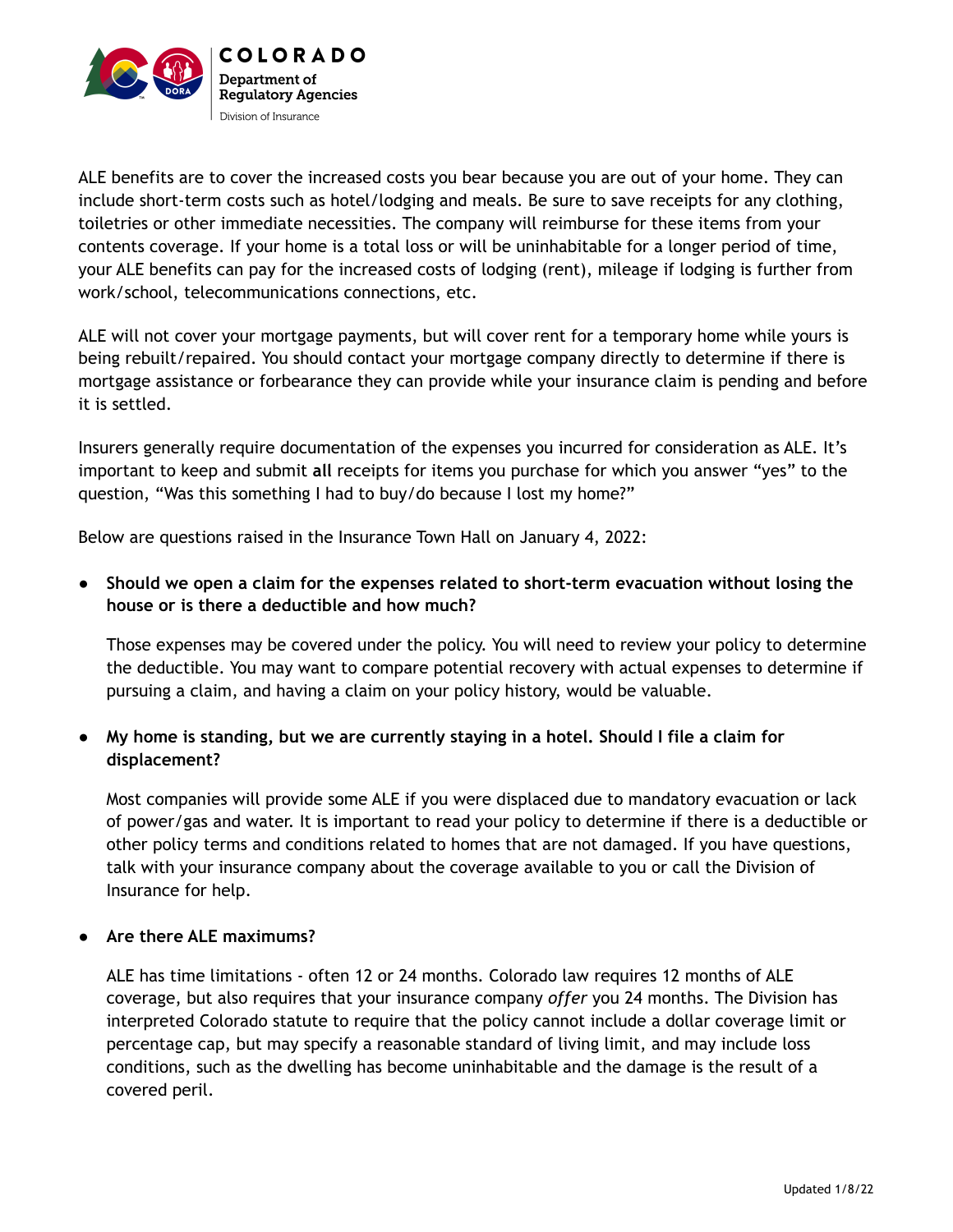

ALE benefits are to cover the increased costs you bear because you are out of your home. They can include short-term costs such as hotel/lodging and meals. Be sure to save receipts for any clothing, toiletries or other immediate necessities. The company will reimburse for these items from your contents coverage. If your home is a total loss or will be uninhabitable for a longer period of time, your ALE benefits can pay for the increased costs of lodging (rent), mileage if lodging is further from work/school, telecommunications connections, etc.

ALE will not cover your mortgage payments, but will cover rent for a temporary home while yours is being rebuilt/repaired. You should contact your mortgage company directly to determine if there is mortgage assistance or forbearance they can provide while your insurance claim is pending and before it is settled.

Insurers generally require documentation of the expenses you incurred for consideration as ALE. It's important to keep and submit **all** receipts for items you purchase for which you answer "yes" to the question, "Was this something I had to buy/do because I lost my home?"

Below are questions raised in the Insurance Town Hall on January 4, 2022:

**● Should we open a claim for the expenses related to short-term evacuation without losing the house or is there a deductible and how much?**

Those expenses may be covered under the policy. You will need to review your policy to determine the deductible. You may want to compare potential recovery with actual expenses to determine if pursuing a claim, and having a claim on your policy history, would be valuable.

## **● My home is standing, but we are currently staying in a hotel. Should I file a claim for displacement?**

Most companies will provide some ALE if you were displaced due to mandatory evacuation or lack of power/gas and water. It is important to read your policy to determine if there is a deductible or other policy terms and conditions related to homes that are not damaged. If you have questions, talk with your insurance company about the coverage available to you or call the Division of Insurance for help.

## **● Are there ALE maximums?**

ALE has time limitations - often 12 or 24 months. Colorado law requires 12 months of ALE coverage, but also requires that your insurance company *offer* you 24 months. The Division has interpreted Colorado statute to require that the policy cannot include a dollar coverage limit or percentage cap, but may specify a reasonable standard of living limit, and may include loss conditions, such as the dwelling has become uninhabitable and the damage is the result of a covered peril.